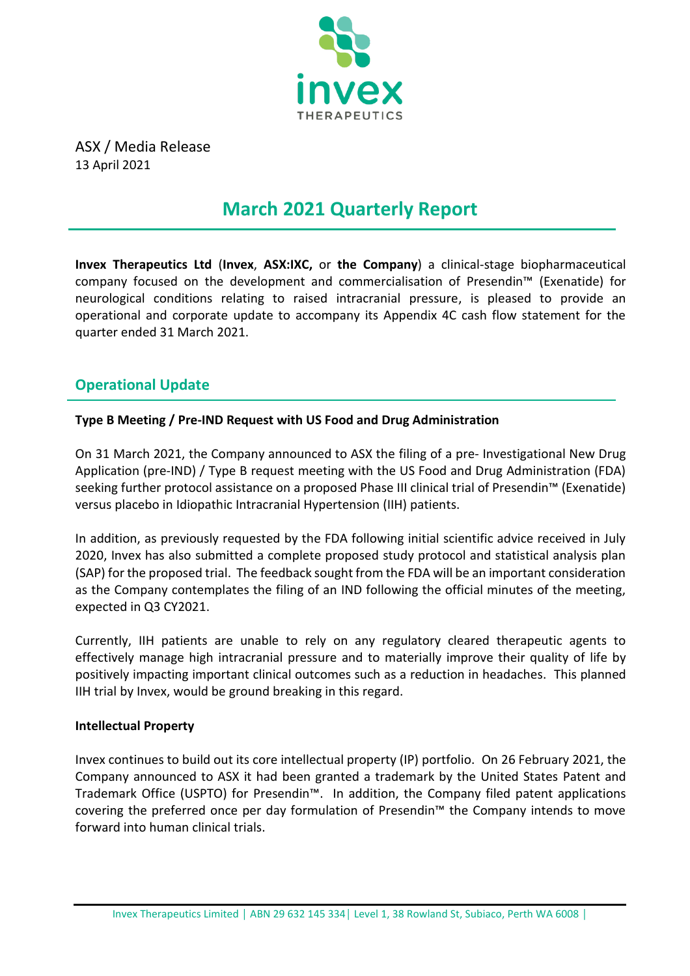

ASX / Media Release 13 April 2021

# **March 2021 Quarterly Report**

**Invex Therapeutics Ltd** (**Invex**, **ASX:IXC,** or **the Company**) a clinical-stage biopharmaceutical company focused on the development and commercialisation of Presendin™ (Exenatide) for neurological conditions relating to raised intracranial pressure, is pleased to provide an operational and corporate update to accompany its Appendix 4C cash flow statement for the quarter ended 31 March 2021.

### **Operational Update**

### **Type B Meeting / Pre-IND Request with US Food and Drug Administration**

On 31 March 2021, the Company announced to ASX the filing of a pre- Investigational New Drug Application (pre-IND) / Type B request meeting with the US Food and Drug Administration (FDA) seeking further protocol assistance on a proposed Phase III clinical trial of Presendin™ (Exenatide) versus placebo in Idiopathic Intracranial Hypertension (IIH) patients.

In addition, as previously requested by the FDA following initial scientific advice received in July 2020, Invex has also submitted a complete proposed study protocol and statistical analysis plan (SAP) for the proposed trial. The feedback sought from the FDA will be an important consideration as the Company contemplates the filing of an IND following the official minutes of the meeting, expected in Q3 CY2021.

Currently, IIH patients are unable to rely on any regulatory cleared therapeutic agents to effectively manage high intracranial pressure and to materially improve their quality of life by positively impacting important clinical outcomes such as a reduction in headaches. This planned IIH trial by Invex, would be ground breaking in this regard.

### **Intellectual Property**

Invex continues to build out its core intellectual property (IP) portfolio. On 26 February 2021, the Company announced to ASX it had been granted a trademark by the United States Patent and Trademark Office (USPTO) for Presendin™. In addition, the Company filed patent applications covering the preferred once per day formulation of Presendin™ the Company intends to move forward into human clinical trials.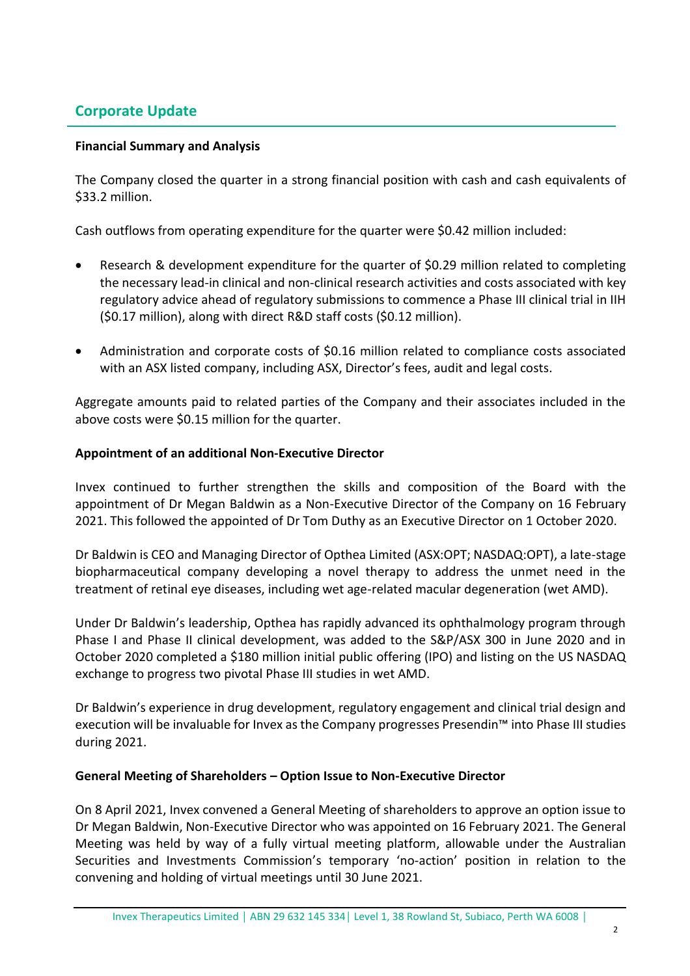### **Corporate Update**

#### **Financial Summary and Analysis**

The Company closed the quarter in a strong financial position with cash and cash equivalents of \$33.2 million.

Cash outflows from operating expenditure for the quarter were \$0.42 million included:

- Research & development expenditure for the quarter of \$0.29 million related to completing the necessary lead-in clinical and non-clinical research activities and costs associated with key regulatory advice ahead of regulatory submissions to commence a Phase III clinical trial in IIH (\$0.17 million), along with direct R&D staff costs (\$0.12 million).
- Administration and corporate costs of \$0.16 million related to compliance costs associated with an ASX listed company, including ASX, Director's fees, audit and legal costs.

Aggregate amounts paid to related parties of the Company and their associates included in the above costs were \$0.15 million for the quarter.

#### **Appointment of an additional Non-Executive Director**

Invex continued to further strengthen the skills and composition of the Board with the appointment of Dr Megan Baldwin as a Non-Executive Director of the Company on 16 February 2021. This followed the appointed of Dr Tom Duthy as an Executive Director on 1 October 2020.

Dr Baldwin is CEO and Managing Director of Opthea Limited (ASX:OPT; NASDAQ:OPT), a late-stage biopharmaceutical company developing a novel therapy to address the unmet need in the treatment of retinal eye diseases, including wet age-related macular degeneration (wet AMD).

Under Dr Baldwin's leadership, Opthea has rapidly advanced its ophthalmology program through Phase I and Phase II clinical development, was added to the S&P/ASX 300 in June 2020 and in October 2020 completed a \$180 million initial public offering (IPO) and listing on the US NASDAQ exchange to progress two pivotal Phase III studies in wet AMD.

Dr Baldwin's experience in drug development, regulatory engagement and clinical trial design and execution will be invaluable for Invex as the Company progresses Presendin™ into Phase III studies during 2021.

#### **General Meeting of Shareholders – Option Issue to Non-Executive Director**

On 8 April 2021, Invex convened a General Meeting of shareholders to approve an option issue to Dr Megan Baldwin, Non-Executive Director who was appointed on 16 February 2021. The General Meeting was held by way of a fully virtual meeting platform, allowable under the Australian Securities and Investments Commission's temporary 'no-action' position in relation to the convening and holding of virtual meetings until 30 June 2021.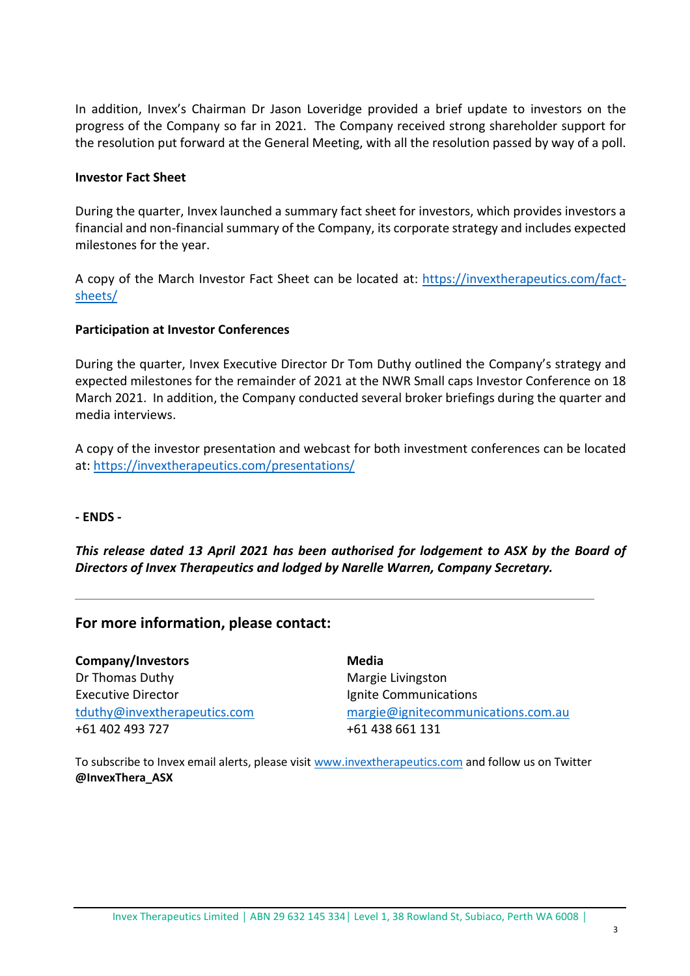In addition, Invex's Chairman Dr Jason Loveridge provided a brief update to investors on the progress of the Company so far in 2021. The Company received strong shareholder support for the resolution put forward at the General Meeting, with all the resolution passed by way of a poll.

#### **Investor Fact Sheet**

During the quarter, Invex launched a summary fact sheet for investors, which provides investors a financial and non-financial summary of the Company, its corporate strategy and includes expected milestones for the year.

A copy of the March Investor Fact Sheet can be located at: [https://invextherapeutics.com/fact](https://invextherapeutics.com/fact-sheets/)[sheets/](https://invextherapeutics.com/fact-sheets/)

#### **Participation at Investor Conferences**

During the quarter, Invex Executive Director Dr Tom Duthy outlined the Company's strategy and expected milestones for the remainder of 2021 at the NWR Small caps Investor Conference on 18 March 2021. In addition, the Company conducted several broker briefings during the quarter and media interviews.

A copy of the investor presentation and webcast for both investment conferences can be located at:<https://invextherapeutics.com/presentations/>

#### **- ENDS -**

*This release dated 13 April 2021 has been authorised for lodgement to ASX by the Board of Directors of Invex Therapeutics and lodged by Narelle Warren, Company Secretary.*

### **For more information, please contact:**

**Company/Investors** Dr Thomas Duthy Executive Director [tduthy@invextherapeutics.com](mailto:tduthy@invextherapeutics.comu) +61 402 493 727

**Media** Margie Livingston Ignite Communications [margie@ignitecommunications.com.au](mailto:margie@ignitecommunications.com.au) +61 438 661 131

To subscribe to Invex email alerts, please visit [www.invextherapeutics.com](http://www.invextherapeutics.com/) and follow us on Twitter **@InvexThera\_ASX**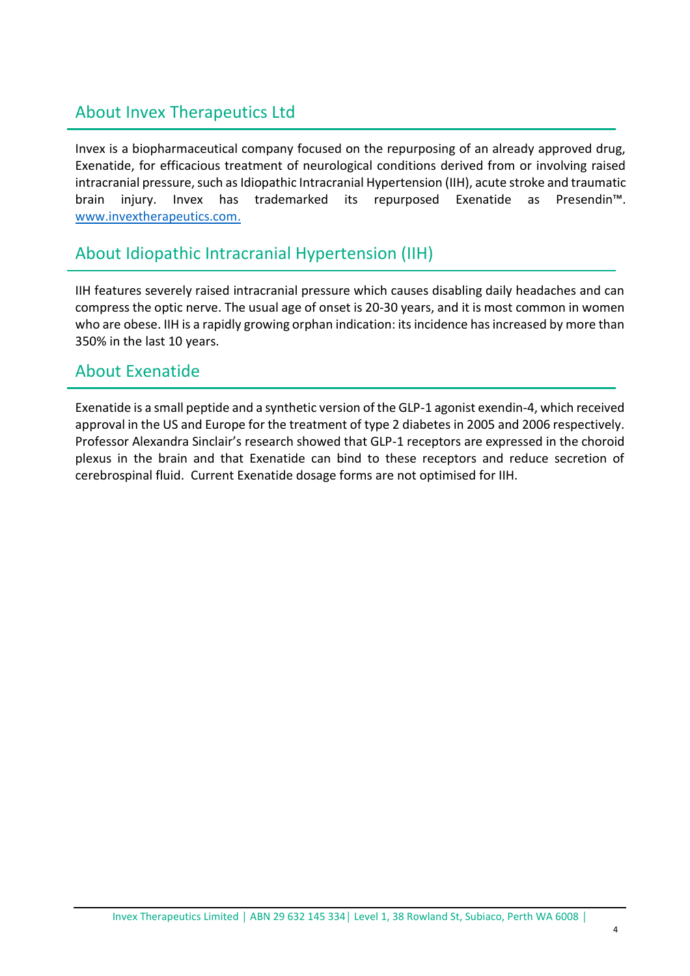# About Invex Therapeutics Ltd

Invex is a biopharmaceutical company focused on the repurposing of an already approved drug, Exenatide, for efficacious treatment of neurological conditions derived from or involving raised intracranial pressure, such as Idiopathic Intracranial Hypertension (IIH), acute stroke and traumatic brain injury. Invex has trademarked its repurposed Exenatide as Presendin™. [www.invextherapeutics.com.](http://www.invextherapeutics.com/)

## About Idiopathic Intracranial Hypertension (IIH)

IIH features severely raised intracranial pressure which causes disabling daily headaches and can compress the optic nerve. The usual age of onset is 20-30 years, and it is most common in women who are obese. IIH is a rapidly growing orphan indication: its incidence has increased by more than 350% in the last 10 years.

## About Exenatide

Exenatide is a small peptide and a synthetic version of the GLP-1 agonist exendin-4, which received approval in the US and Europe for the treatment of type 2 diabetes in 2005 and 2006 respectively. Professor Alexandra Sinclair's research showed that GLP-1 receptors are expressed in the choroid plexus in the brain and that Exenatide can bind to these receptors and reduce secretion of cerebrospinal fluid. Current Exenatide dosage forms are not optimised for IIH.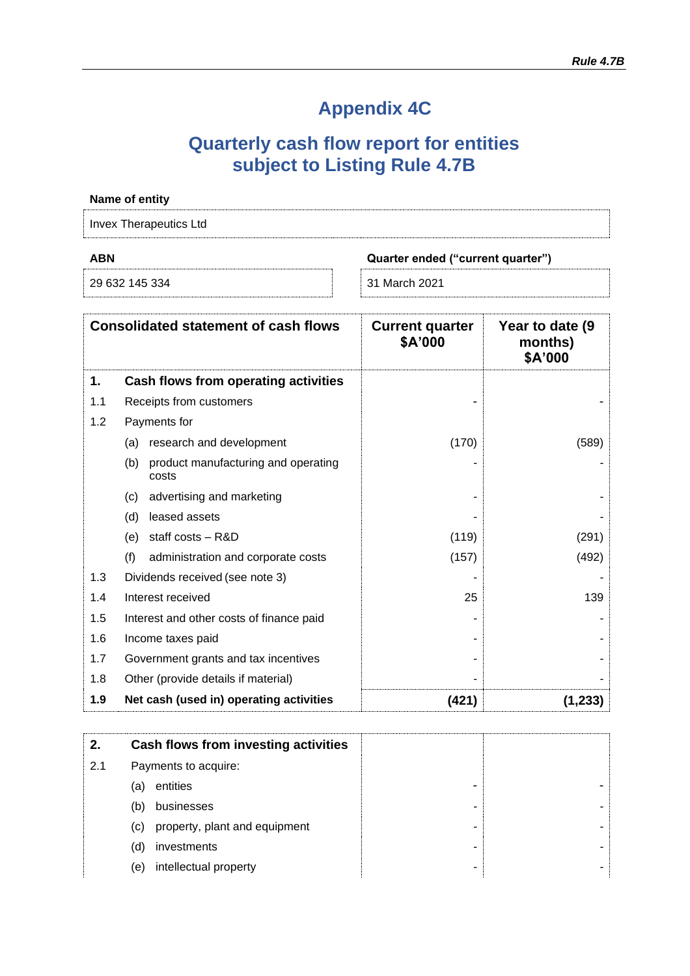# **Appendix 4C**

# **Quarterly cash flow report for entities subject to Listing Rule 4.7B**

| Name of entity |                                                     |                                   |                                        |
|----------------|-----------------------------------------------------|-----------------------------------|----------------------------------------|
|                | <b>Invex Therapeutics Ltd</b>                       |                                   |                                        |
| <b>ABN</b>     |                                                     | Quarter ended ("current quarter") |                                        |
|                | 29 632 145 334                                      | 31 March 2021                     |                                        |
|                | <b>Consolidated statement of cash flows</b>         | <b>Current quarter</b><br>\$A'000 | Year to date (9)<br>months)<br>\$A'000 |
| 1.             | Cash flows from operating activities                |                                   |                                        |
| 1.1            | Receipts from customers                             |                                   |                                        |
| 1.2            | Payments for                                        |                                   |                                        |
|                | (a) research and development                        | (170)                             | (589)                                  |
|                | product manufacturing and operating<br>(b)<br>costs |                                   |                                        |
|                | advertising and marketing<br>(c)                    |                                   |                                        |
|                | leased assets<br>(d)                                |                                   |                                        |
|                | staff costs - R&D<br>(e)                            | (119)                             | (291)                                  |
|                | (f)<br>administration and corporate costs           | (157)                             | (492)                                  |
| 1.3            | Dividends received (see note 3)                     |                                   |                                        |
| 1.4            | Interest received                                   | 25                                | 139                                    |
| 1.5            | Interest and other costs of finance paid            |                                   |                                        |
| 1.6            | Income taxes paid                                   |                                   |                                        |
| 1.7            | Government grants and tax incentives                |                                   |                                        |
| 1.8            | Other (provide details if material)                 |                                   |                                        |
| 1.9            | Net cash (used in) operating activities             | (421)                             | (1, 233)                               |

| 2.  |     | Cash flows from investing activities |
|-----|-----|--------------------------------------|
| 2.1 |     | Payments to acquire:                 |
|     | (a) | entities                             |
|     | (b) | businesses                           |
|     | (c) | property, plant and equipment        |
|     | (d) | investments                          |
|     | (e) | intellectual property                |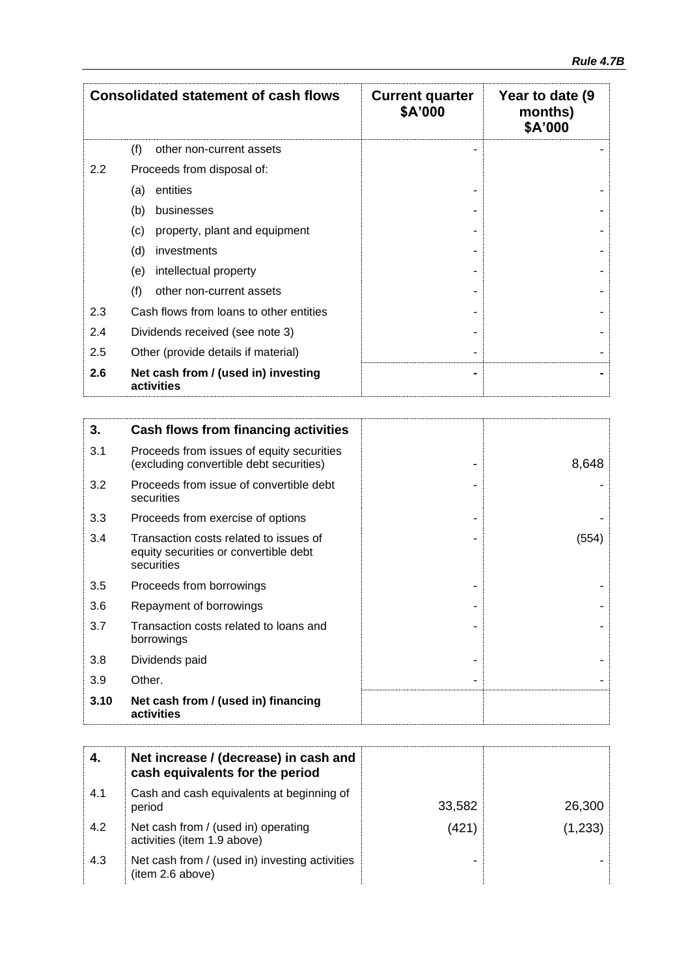| <b>Consolidated statement of cash flows</b> |                                                   | <b>Current quarter</b><br>\$A'000 | Year to date (9<br>months)<br>\$A'000 |
|---------------------------------------------|---------------------------------------------------|-----------------------------------|---------------------------------------|
|                                             | (f)<br>other non-current assets                   |                                   |                                       |
| 2.2                                         | Proceeds from disposal of:                        |                                   |                                       |
|                                             | entities<br>(a)                                   |                                   |                                       |
|                                             | (b)<br>businesses                                 |                                   |                                       |
|                                             | (c)<br>property, plant and equipment              |                                   |                                       |
|                                             | (d)<br>investments                                |                                   |                                       |
|                                             | intellectual property<br>(e)                      |                                   |                                       |
|                                             | (f)<br>other non-current assets                   |                                   |                                       |
| 2.3                                         | Cash flows from loans to other entities           |                                   |                                       |
| 2.4                                         | Dividends received (see note 3)                   |                                   |                                       |
| 2.5                                         | Other (provide details if material)               |                                   |                                       |
| 2.6                                         | Net cash from / (used in) investing<br>activities |                                   |                                       |

| 3.   | <b>Cash flows from financing activities</b>                                                   |       |
|------|-----------------------------------------------------------------------------------------------|-------|
| 3.1  | Proceeds from issues of equity securities<br>(excluding convertible debt securities)          | 8,648 |
| 3.2  | Proceeds from issue of convertible debt<br>securities                                         |       |
| 3.3  | Proceeds from exercise of options                                                             |       |
| 3.4  | Transaction costs related to issues of<br>equity securities or convertible debt<br>securities | (554) |
| 3.5  | Proceeds from borrowings                                                                      |       |
| 3.6  | Repayment of borrowings                                                                       |       |
| 3.7  | Transaction costs related to loans and<br>borrowings                                          |       |
| 3.8  | Dividends paid                                                                                |       |
| 3.9  | Other.                                                                                        |       |
| 3.10 | Net cash from / (used in) financing<br>activities                                             |       |

|     | Net increase / (decrease) in cash and<br>cash equivalents for the period |        |          |
|-----|--------------------------------------------------------------------------|--------|----------|
| 4.1 | Cash and cash equivalents at beginning of<br>period                      | 33,582 | 26,300   |
| 4.2 | Net cash from / (used in) operating<br>activities (item 1.9 above)       | (421)  | (1, 233) |
| 4.3 | Net cash from / (used in) investing activities<br>(item 2.6 above)       |        |          |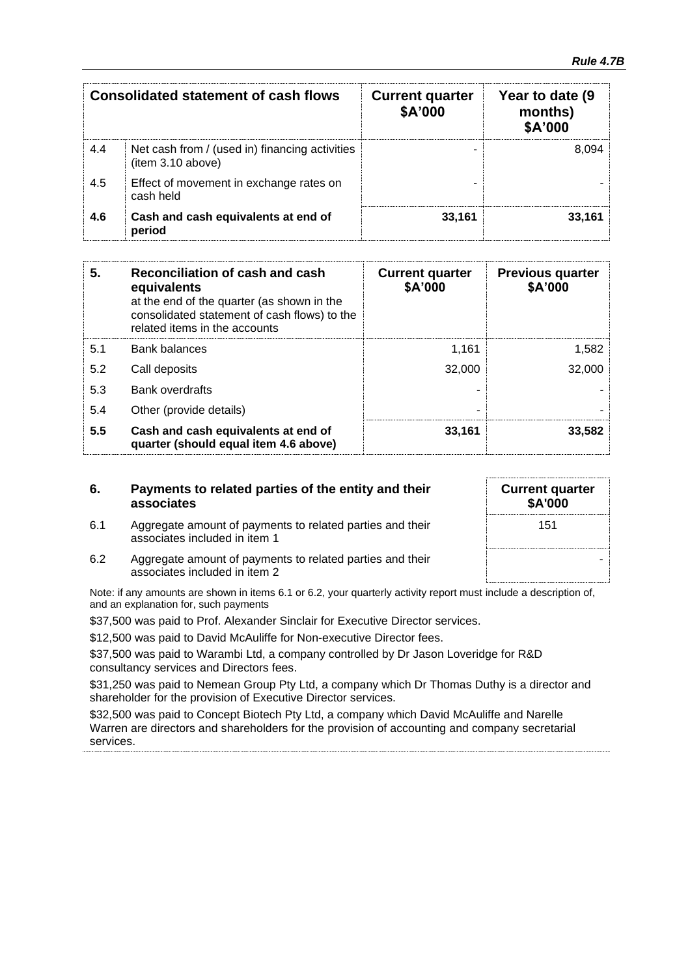|     | <b>Consolidated statement of cash flows</b>                         | <b>Current quarter</b><br>\$A'000 | Year to date (9<br>months)<br>\$A'000 |
|-----|---------------------------------------------------------------------|-----------------------------------|---------------------------------------|
| 4.4 | Net cash from / (used in) financing activities<br>(item 3.10 above) |                                   | 8.094                                 |
| 4.5 | Effect of movement in exchange rates on<br>cash held                |                                   |                                       |
| 4.6 | Cash and cash equivalents at end of<br>period                       | 33,161                            | 33.161                                |

| 5.  | Reconciliation of cash and cash<br>equivalents<br>at the end of the quarter (as shown in the<br>consolidated statement of cash flows) to the<br>related items in the accounts | <b>Current quarter</b><br>\$A'000 | <b>Previous quarter</b><br>\$A'000 |
|-----|-------------------------------------------------------------------------------------------------------------------------------------------------------------------------------|-----------------------------------|------------------------------------|
| 5.1 | <b>Bank balances</b>                                                                                                                                                          | 1.161                             | 1,582                              |
| 5.2 | Call deposits                                                                                                                                                                 | 32,000                            | 32,000                             |
| 5.3 | <b>Bank overdrafts</b>                                                                                                                                                        |                                   |                                    |
| 5.4 | Other (provide details)                                                                                                                                                       | -                                 |                                    |
| 5.5 | Cash and cash equivalents at end of<br>quarter (should equal item 4.6 above)                                                                                                  | 33,161                            | 33,582                             |

| 6. | Payments to related parties of the entity and their |
|----|-----------------------------------------------------|
|    | associates                                          |

6.1 Aggregate amount of payments to related parties and their

| <b>Current quarter</b><br>\$A'000 |  |
|-----------------------------------|--|
| 151                               |  |
|                                   |  |

associates included in item 1 6.2 Aggregate amount of payments to related parties and their associates included in item 2

Note: if any amounts are shown in items 6.1 or 6.2, your quarterly activity report must include a description of, and an explanation for, such payments

\$37,500 was paid to Prof. Alexander Sinclair for Executive Director services.

\$12,500 was paid to David McAuliffe for Non-executive Director fees.

\$37,500 was paid to Warambi Ltd, a company controlled by Dr Jason Loveridge for R&D consultancy services and Directors fees.

\$31,250 was paid to Nemean Group Pty Ltd, a company which Dr Thomas Duthy is a director and shareholder for the provision of Executive Director services.

\$32,500 was paid to Concept Biotech Pty Ltd, a company which David McAuliffe and Narelle Warren are directors and shareholders for the provision of accounting and company secretarial services.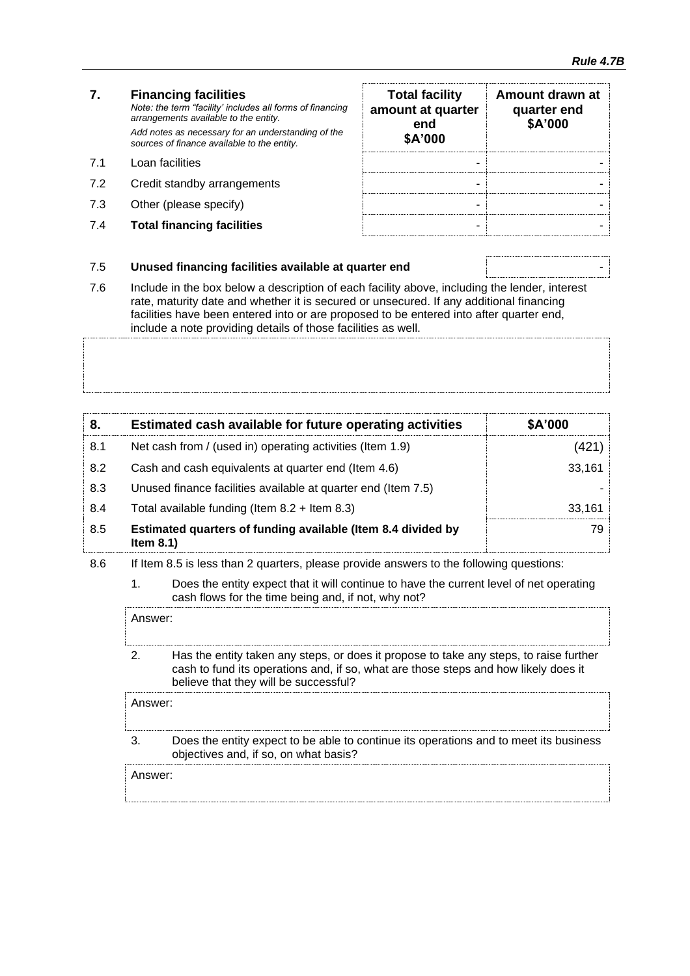|     | <b>Financing facilities</b><br>Note: the term "facility' includes all forms of financing<br>arrangements available to the entity.<br>Add notes as necessary for an understanding of the<br>sources of finance available to the entity. | <b>Total facility</b><br>amount at quarter<br>end<br>\$A'000 | Amount drawn at<br>quarter end<br>\$A'000 |
|-----|----------------------------------------------------------------------------------------------------------------------------------------------------------------------------------------------------------------------------------------|--------------------------------------------------------------|-------------------------------------------|
| 71  | Loan facilities                                                                                                                                                                                                                        | -                                                            |                                           |
| 7.2 | Credit standby arrangements                                                                                                                                                                                                            | -                                                            |                                           |

- 7.3 Other (please specify)
- **7.4 Total financing facilities**

| <b>Total facility</b><br>amount at quarter<br>end<br>\$A'000 | Amount drawn at<br>quarter end<br>\$A'000 |
|--------------------------------------------------------------|-------------------------------------------|
|                                                              |                                           |
|                                                              |                                           |
|                                                              |                                           |
|                                                              |                                           |

#### 7.5 **Unused financing facilities available at quarter end** -

7.6 Include in the box below a description of each facility above, including the lender, interest rate, maturity date and whether it is secured or unsecured. If any additional financing facilities have been entered into or are proposed to be entered into after quarter end, include a note providing details of those facilities as well.

| 8.  | Estimated cash available for future operating activities                     | \$A'000 |
|-----|------------------------------------------------------------------------------|---------|
| 8.1 | Net cash from / (used in) operating activities (Item 1.9)                    | (421)   |
| 8.2 | Cash and cash equivalents at quarter end (Item 4.6)                          | 33,161  |
| 8.3 | Unused finance facilities available at quarter end (Item 7.5)                |         |
| 8.4 | Total available funding (Item $8.2 +$ Item $8.3$ )                           | 33,161  |
| 8.5 | Estimated quarters of funding available (Item 8.4 divided by<br>Item $8.1$ ) | 79.     |

- 8.6 If Item 8.5 is less than 2 quarters, please provide answers to the following questions:
	- 1. Does the entity expect that it will continue to have the current level of net operating cash flows for the time being and, if not, why not?

Answer: 2. Has the entity taken any steps, or does it propose to take any steps, to raise further cash to fund its operations and, if so, what are those steps and how likely does it believe that they will be successful? Answer:

3. Does the entity expect to be able to continue its operations and to meet its business objectives and, if so, on what basis?

Answer: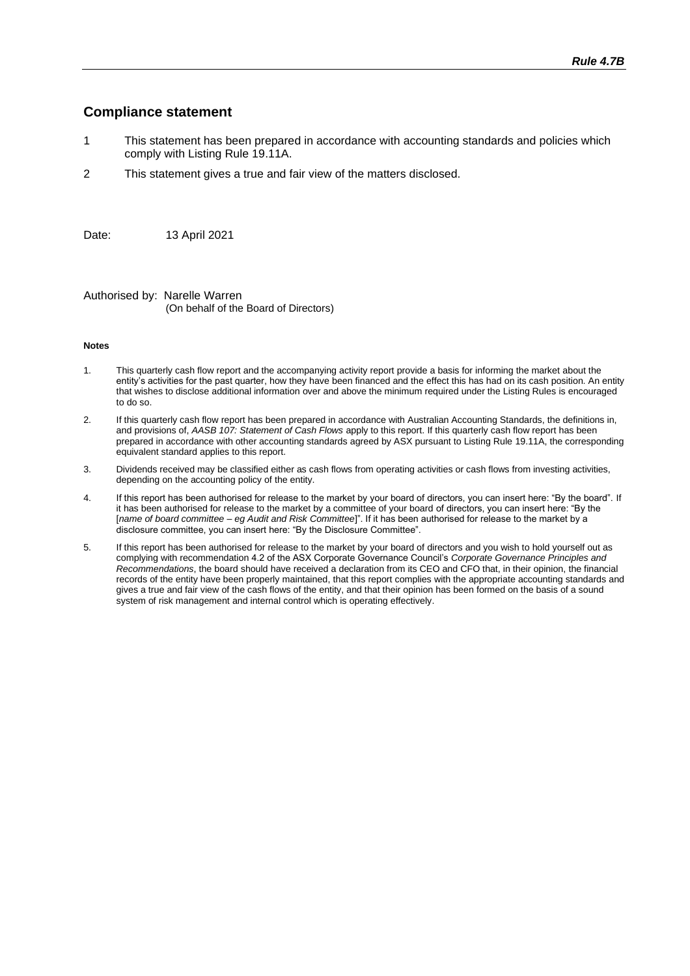#### **Compliance statement**

- 1 This statement has been prepared in accordance with accounting standards and policies which comply with Listing Rule 19.11A.
- 2 This statement gives a true and fair view of the matters disclosed.

Date: 13 April 2021

Authorised by: Narelle Warren (On behalf of the Board of Directors)

#### **Notes**

- 1. This quarterly cash flow report and the accompanying activity report provide a basis for informing the market about the entity's activities for the past quarter, how they have been financed and the effect this has had on its cash position. An entity that wishes to disclose additional information over and above the minimum required under the Listing Rules is encouraged to do so.
- 2. If this quarterly cash flow report has been prepared in accordance with Australian Accounting Standards, the definitions in, and provisions of, *AASB 107: Statement of Cash Flows* apply to this report. If this quarterly cash flow report has been prepared in accordance with other accounting standards agreed by ASX pursuant to Listing Rule 19.11A, the corresponding equivalent standard applies to this report.
- 3. Dividends received may be classified either as cash flows from operating activities or cash flows from investing activities, depending on the accounting policy of the entity.
- 4. If this report has been authorised for release to the market by your board of directors, you can insert here: "By the board". If it has been authorised for release to the market by a committee of your board of directors, you can insert here: "By the [*name of board committee* – *eg Audit and Risk Committee*]". If it has been authorised for release to the market by a disclosure committee, you can insert here: "By the Disclosure Committee".
- 5. If this report has been authorised for release to the market by your board of directors and you wish to hold yourself out as complying with recommendation 4.2 of the ASX Corporate Governance Council's *Corporate Governance Principles and Recommendations*, the board should have received a declaration from its CEO and CFO that, in their opinion, the financial records of the entity have been properly maintained, that this report complies with the appropriate accounting standards and gives a true and fair view of the cash flows of the entity, and that their opinion has been formed on the basis of a sound system of risk management and internal control which is operating effectively.